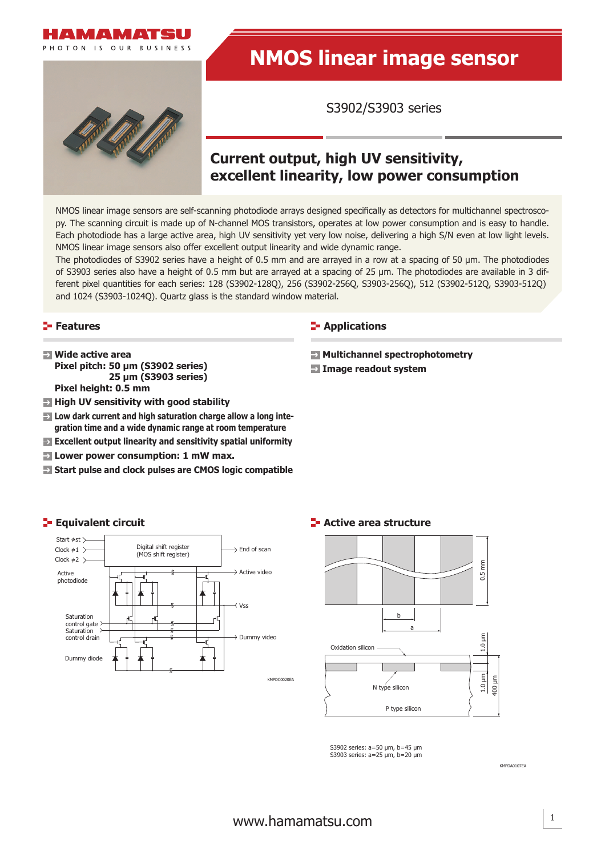

# **NMOS linear image sensor**

S3902/S3903 series

# **Current output, high UV sensitivity, excellent linearity, low power consumption**

NMOS linear image sensors are self-scanning photodiode arrays designed specifically as detectors for multichannel spectroscopy. The scanning circuit is made up of N-channel MOS transistors, operates at low power consumption and is easy to handle. Each photodiode has a large active area, high UV sensitivity yet very low noise, delivering a high S/N even at low light levels. NMOS linear image sensors also offer excellent output linearity and wide dynamic range.

The photodiodes of S3902 series have a height of 0.5 mm and are arrayed in a row at a spacing of 50 μm. The photodiodes of S3903 series also have a height of 0.5 mm but are arrayed at a spacing of 25 μm. The photodiodes are available in 3 different pixel quantities for each series: 128 (S3902-128Q), 256 (S3902-256Q, S3903-256Q), 512 (S3902-512Q, S3903-512Q) and 1024 (S3903-1024Q). Quartz glass is the standard window material.

## **Features**

- **Wide active area Pixel pitch: 50 μm (S3902 series) 25 μm (S3903 series) Pixel height: 0.5 mm**
- $\blacksquare$  **High UV sensitivity with good stability**
- **EX** Low dark current and high saturation charge allow a long inte**gration time and a wide dynamic range at room temperature**
- **Excellent output linearity and sensitivity spatial uniformity**
- **Lower power consumption: 1 mW max.**
- **Start pulse and clock pulses are CMOS logic compatible**

## **E-** Applications

 **Multichannel spectrophotometry**

 **Image readout system**



**E** Equivalent circuit

Saturation control gate Saturation control drain

Dummy diode

## **E-** Active area structure



S3902 series: a=50 μm, b=45 μm S3903 series: a=25 μm, b=20 μm

KMPDA0107EA

# [www.hamamatsu.com](http://www.hamamatsu.com)

KMPDC0020EA

Vss

 $\rightarrow$  Active video

Dummy video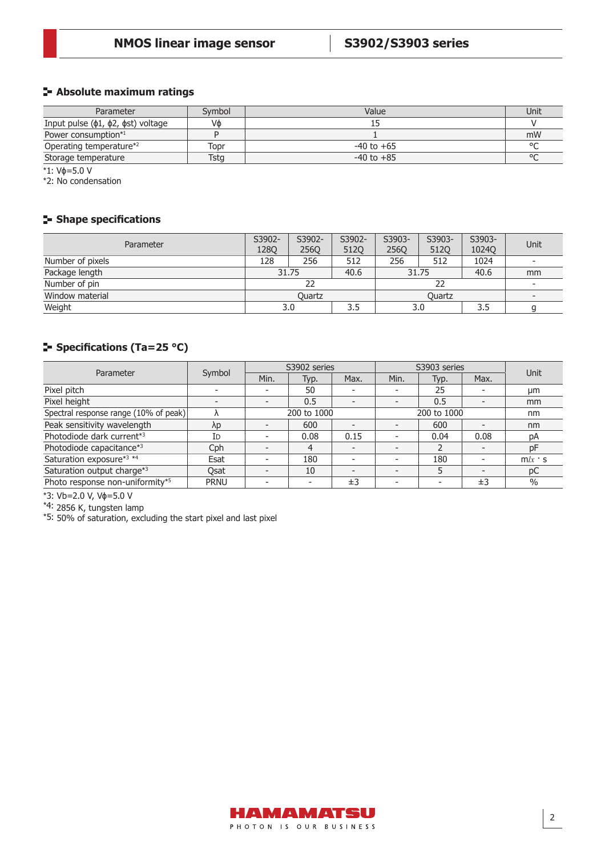## **Absolute maximum ratings**

| Parameter                                    | Symbol | Value          | Unit    |
|----------------------------------------------|--------|----------------|---------|
| Input pulse $(\phi1, \phi2, \phist)$ voltage | Vф     |                |         |
| Power consumption*1                          |        |                | mW      |
| Operating temperature*2                      | Topr   | $-40$ to $+65$ | $\circ$ |
| Storage temperature                          | Tstg   | $-40$ to $+85$ | $\circ$ |

\*1: Vɸ=5.0 V

\*2: No condensation

# **Shape specifications**

| Parameter        | S3902-<br><b>1280</b> | S3902-<br><b>2560</b> | S3902-<br><b>5120</b> | S3903-<br><b>2560</b> | S3903-<br>512Q | S3903-<br>1024Q | Unit                     |
|------------------|-----------------------|-----------------------|-----------------------|-----------------------|----------------|-----------------|--------------------------|
| Number of pixels | 128                   | 256                   | 512                   | 256                   | 512            | 1024            | $\overline{\phantom{a}}$ |
| Package length   | 31.75                 |                       | 40.6                  | 31.75                 |                | 40.6            | mm                       |
| Number of pin    | 22                    |                       |                       |                       |                |                 | $\overline{\phantom{a}}$ |
| Window material  | Ouartz                |                       |                       |                       | Quartz         |                 | $\overline{\phantom{0}}$ |
| Weight           |                       | 3.0                   | 3.5                   |                       | 3.0            | 3.5             |                          |

# **Specifications (Ta=25 °C)**

| Parameter                             | Symbol      |                          | S3902 series             |      | S3903 series | Unit |                          |               |
|---------------------------------------|-------------|--------------------------|--------------------------|------|--------------|------|--------------------------|---------------|
|                                       |             | Min.                     | Typ.                     | Max. | Min.         | Typ. | Max.                     |               |
| Pixel pitch                           |             | $\overline{\phantom{a}}$ | 50                       |      |              | 25   |                          | µm            |
| Pixel height                          |             | $\overline{\phantom{0}}$ | 0.5                      |      |              | 0.5  |                          | mm            |
| Spectral response range (10% of peak) |             | 200 to 1000              |                          |      | 200 to 1000  |      |                          | nm            |
| Peak sensitivity wavelength           | λp          | $\overline{\phantom{a}}$ | 600                      |      |              | 600  |                          | nm            |
| Photodiode dark current*3             | ID          | -                        | 0.08                     | 0.15 |              | 0.04 | 0.08                     | рA            |
| Photodiode capacitance*3              | Cph         | $\overline{\phantom{0}}$ | 4                        |      |              |      |                          | pF            |
| Saturation exposure*3 *4              | Esat        | $\overline{\phantom{a}}$ | 180                      |      |              | 180  | $\overline{\phantom{0}}$ | $m/x$ s       |
| Saturation output charge*3            | Osat        | $\overline{\phantom{0}}$ | 10                       |      |              |      | $\overline{\phantom{0}}$ | pC            |
| Photo response non-uniformity*5       | <b>PRNU</b> | -                        | $\overline{\phantom{a}}$ | ±3   |              |      | ±3                       | $\frac{0}{0}$ |

\*3: Vb=2.0 V, Vɸ=5.0 V

\*4: 2856 K, tungsten lamp

\*5: 50% of saturation, excluding the start pixel and last pixel

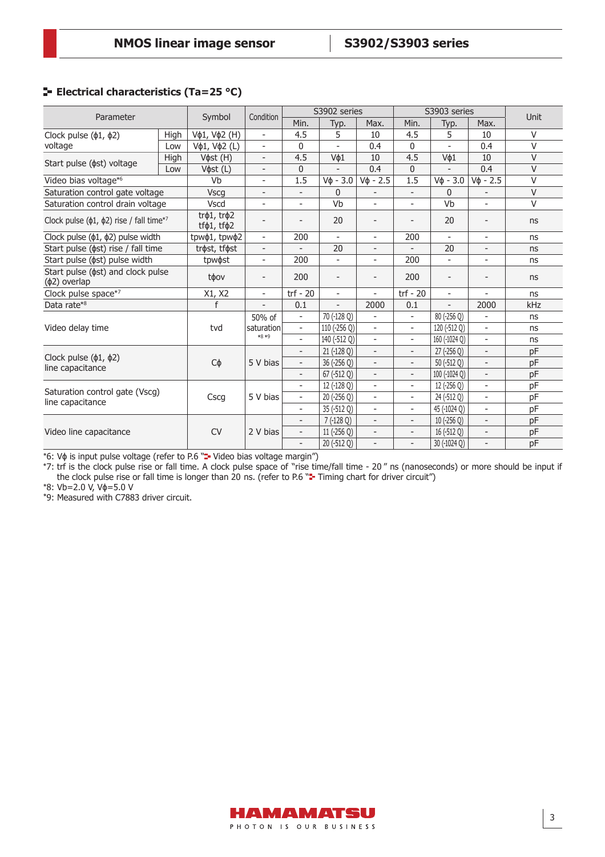# **E-** Electrical characteristics (Ta=25 °C)

| Parameter                                                        |      | Symbol                                 | Condition                | S3902 series             |                          |                          | S3903 series             |                          |                          | Unit   |
|------------------------------------------------------------------|------|----------------------------------------|--------------------------|--------------------------|--------------------------|--------------------------|--------------------------|--------------------------|--------------------------|--------|
|                                                                  |      |                                        |                          | Min.                     | Typ.                     | Max.                     | Min.                     | Typ.                     | Max.                     |        |
| Clock pulse $(\phi1, \phi2)$                                     | High | Vφ1, Vφ2 (H)                           | $\overline{\phantom{a}}$ | 4.5                      | 5                        | 10                       | 4.5                      | 5                        | 10                       | $\vee$ |
| voltage                                                          | Low  | Vφ1, Vφ2 (L)                           | $\overline{\phantom{a}}$ | 0                        |                          | 0.4                      | $\mathbf{0}$             |                          | 0.4                      | $\vee$ |
|                                                                  | High | V $\phi$ st (H)                        | $\overline{\phantom{a}}$ | 4.5                      | V¢1                      | 10                       | 4.5                      | V¢1                      | 10                       | $\vee$ |
| Start pulse ( $\phi$ st) voltage                                 | Low  | Vфst (L)                               | $\overline{\phantom{a}}$ | 0                        |                          | 0.4                      | $\Omega$                 |                          | 0.4                      | $\vee$ |
| Video bias voltage*6                                             |      | Vb                                     | $\overline{\phantom{a}}$ | 1.5                      | $V\phi - 3.0$            | $V_{\Phi}$ - 2.5         | 1.5                      | $V_{\Phi} - 3.0$         | $V\phi - 2.5$            | $\vee$ |
| Saturation control gate voltage                                  |      | <b>Vscg</b>                            | $\overline{\phantom{a}}$ | $\overline{\phantom{0}}$ | $\Omega$                 |                          |                          | $\Omega$                 |                          | $\vee$ |
| Saturation control drain voltage                                 |      | Vscd                                   | $\overline{\phantom{a}}$ | $\overline{\phantom{a}}$ | Vb                       | $\overline{\phantom{m}}$ | $\overline{\phantom{a}}$ | Vb                       | ÷                        | $\vee$ |
| Clock pulse ( $\phi$ 1, $\phi$ 2) rise / fall time <sup>*7</sup> |      | tr@1, tr@2<br>tf $\phi$ 1, tf $\phi$ 2 |                          |                          | 20                       |                          |                          | 20                       |                          | ns     |
| Clock pulse $(\phi1, \phi2)$ pulse width                         |      | tpwφ1, tpwφ2                           | $\overline{\phantom{a}}$ | 200                      | $\overline{a}$           | $\overline{\phantom{0}}$ | 200                      | $\bar{a}$                | $\overline{a}$           | ns     |
| Start pulse ( $\phi$ st) rise / fall time                        |      | trøst, tføst                           | $\overline{\phantom{a}}$ |                          | 20                       | $\overline{a}$           |                          | 20                       | $\overline{a}$           | ns     |
| Start pulse ( $\phi$ st) pulse width                             |      | tpw $\phi$ st                          | $\overline{\phantom{a}}$ | 200                      | ÷.                       | $\overline{a}$           | 200                      | $\mathbf{r}$             | $\overline{a}$           | ns     |
| Start pulse ( $\phi$ st) and clock pulse<br>$(\phi$ 2) overlap   |      | toov                                   | $\overline{a}$           | 200                      | $\overline{\phantom{a}}$ | $\overline{a}$           | 200                      | $\overline{\phantom{a}}$ |                          | ns     |
| Clock pulse space*7                                              |      | X1, X2                                 | $\overline{\phantom{a}}$ | $trf - 20$               | $\overline{\phantom{0}}$ | $\overline{a}$           | $trf - 20$               | $\overline{\phantom{a}}$ | $\overline{a}$           | ns     |
| Data rate*8                                                      |      | f                                      | $\overline{\phantom{a}}$ | 0.1                      | $\overline{a}$           | 2000                     | 0.1                      | $\overline{\phantom{a}}$ | 2000                     | kHz    |
|                                                                  |      |                                        | 50% of                   | $\overline{\phantom{0}}$ | 70 (-128 Q)              | $\overline{a}$           | $\overline{\phantom{a}}$ | 80 (-256 Q)              |                          | ns     |
| Video delay time                                                 |      | tvd                                    | saturation               | $\overline{\phantom{a}}$ | 110 (-256 Q)             | $\frac{1}{2}$            | $\overline{\phantom{a}}$ | 120 (-512 Q)             | $\overline{\phantom{a}}$ | ns     |
|                                                                  |      |                                        | $*8*9$                   | $\overline{\phantom{a}}$ | 140 (-512 Q)             | $\overline{a}$           | $\overline{\phantom{0}}$ | 160 (-1024 Q)            | $\overline{a}$           | ns     |
|                                                                  |      |                                        |                          | $\overline{\phantom{a}}$ | 21 (-128 Q)              | $\overline{\phantom{m}}$ | $\overline{\phantom{a}}$ | 27 (-256 Q)              | $\overline{\phantom{a}}$ | pF     |
| Clock pulse $(\phi_1, \phi_2)$<br>line capacitance               |      | Сф                                     | 5 V bias                 | $\overline{\phantom{0}}$ | 36 (-256 Q)              | $\overline{\phantom{m}}$ | $\overline{\phantom{0}}$ | 50 (-512 Q)              | $\overline{a}$           | pF     |
|                                                                  |      |                                        |                          | $\overline{\phantom{a}}$ | 67 (-512 Q)              | $\overline{\phantom{a}}$ | $\overline{\phantom{a}}$ | 100 (-1024 Q)            | $\overline{\phantom{a}}$ | pF     |
| Saturation control gate (Vscg)<br>line capacitance               |      |                                        | 5 V bias                 | $\overline{\phantom{a}}$ | 12 (-128 Q)              | $\overline{\phantom{0}}$ | $\overline{\phantom{a}}$ | 12 (-256 Q)              | $\overline{a}$           | pF     |
|                                                                  |      | Cscg                                   |                          | $\overline{\phantom{a}}$ | 20 (-256 Q)              | $\overline{\phantom{a}}$ | $\overline{\phantom{a}}$ | 24 (-512 Q)              | $\overline{\phantom{a}}$ | pF     |
|                                                                  |      |                                        |                          | $\overline{\phantom{a}}$ | 35 (-512 Q)              | $\overline{a}$           | $\overline{\phantom{a}}$ | 45 (-1024 Q)             | $\overline{a}$           | pF     |
|                                                                  |      | <b>CV</b>                              | 2 V bias                 | $\overline{\phantom{0}}$ | $7(-128Q)$               | $\overline{\phantom{a}}$ | $\overline{\phantom{a}}$ | $10$ (-256 Q)            | $\overline{a}$           | pF     |
| Video line capacitance                                           |      |                                        |                          | $\overline{\phantom{a}}$ | 11 (-256 Q)              | $\qquad \qquad -$        | $\overline{\phantom{a}}$ | 16 (-512 Q)              | $\overline{a}$           | pF     |
|                                                                  |      |                                        |                          | $\overline{\phantom{a}}$ | 20 (-512 Q)              | $\overline{a}$           | $\overline{\phantom{0}}$ | 30 (-1024 Q)             | $\overline{a}$           | pF     |

\*6: Vφ is input pulse voltage (refer to P.6 "- Video bias voltage margin")

\*7: trf is the clock pulse rise or fall time. A clock pulse space of "rise time/fall time - 20 " ns (nanoseconds) or more should be input if the clock pulse rise or fall time is longer than 20 ns. (refer to P.6 "= Timing chart for driver circuit")

\*8: Vb=2.0 V, Vɸ=5.0 V

\*9: Measured with C7883 driver circuit.

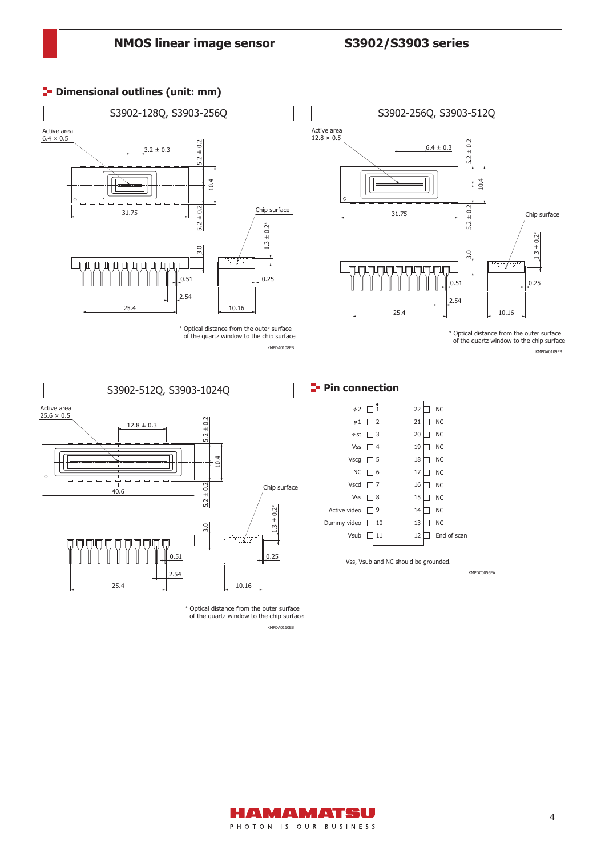# **Dimensional outlines (unit: mm)**



\* Optical distance from the outer surface of the quartz window to the chip surface KMPDA0108EB



\* Optical distance from the outer surface of the quartz window to the chip surface

KMPDA0109EB



\* Optical distance from the outer surface of the quartz window to the chip surface KMPDA0110EB

KMPDC0056EA

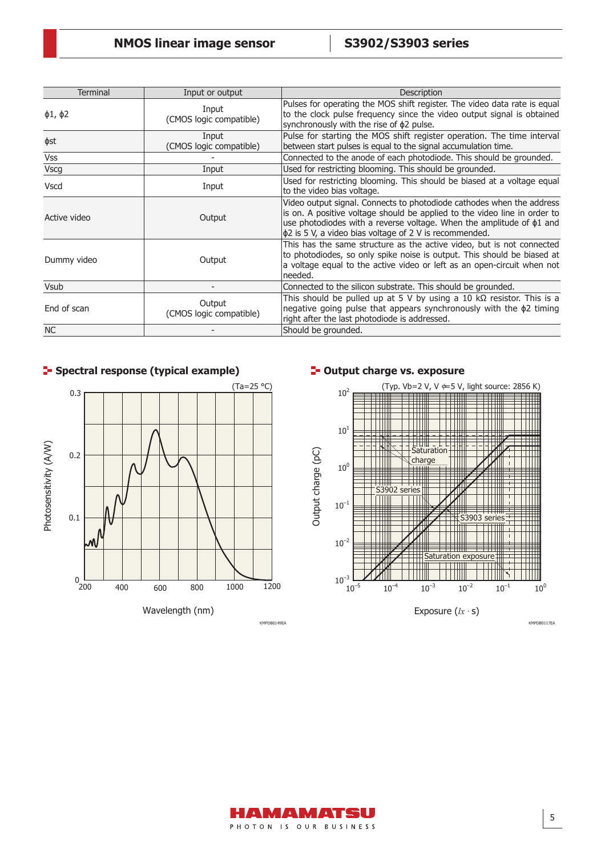| <b>Terminal</b>    | Input or output                   | Description                                                                                                                                                                                                                                                                                       |
|--------------------|-----------------------------------|---------------------------------------------------------------------------------------------------------------------------------------------------------------------------------------------------------------------------------------------------------------------------------------------------|
| $\phi$ 1, $\phi$ 2 | Input<br>(CMOS logic compatible)  | Pulses for operating the MOS shift register. The video data rate is equal<br>to the clock pulse frequency since the video output signal is obtained<br>synchronously with the rise of $\phi$ 2 pulse.                                                                                             |
| фst                | Input<br>(CMOS logic compatible)  | Pulse for starting the MOS shift register operation. The time interval<br>between start pulses is equal to the signal accumulation time.                                                                                                                                                          |
| <b>Vss</b>         |                                   | Connected to the anode of each photodiode. This should be grounded.                                                                                                                                                                                                                               |
| <b>Vscg</b>        | Input                             | Used for restricting blooming. This should be grounded.                                                                                                                                                                                                                                           |
| Vscd               | Input                             | Used for restricting blooming. This should be biased at a voltage equal<br>to the video bias voltage.                                                                                                                                                                                             |
| Active video       | Output                            | Video output signal. Connects to photodiode cathodes when the address<br>is on. A positive voltage should be applied to the video line in order to<br>use photodiodes with a reverse voltage. When the amplitude of $\phi$ 1 and<br>$ \phi$ 2 is 5 V, a video bias voltage of 2 V is recommended. |
| Dummy video        | Output                            | This has the same structure as the active video, but is not connected<br>to photodiodes, so only spike noise is output. This should be biased at<br>a voltage equal to the active video or left as an open-circuit when not<br>needed.                                                            |
| <b>Vsub</b>        |                                   | Connected to the silicon substrate. This should be grounded.                                                                                                                                                                                                                                      |
| End of scan        | Output<br>(CMOS logic compatible) | This should be pulled up at 5 V by using a 10 $k\Omega$ resistor. This is a<br>negative going pulse that appears synchronously with the $\phi$ 2 timing<br>right after the last photodiode is addressed.                                                                                          |
| <b>NC</b>          |                                   | Should be grounded.                                                                                                                                                                                                                                                                               |



# **Spectral response (typical example) Output charge vs. exposure**



Exposure (*lx ·* s)

KMPDB0149EA KMPDB0117EA

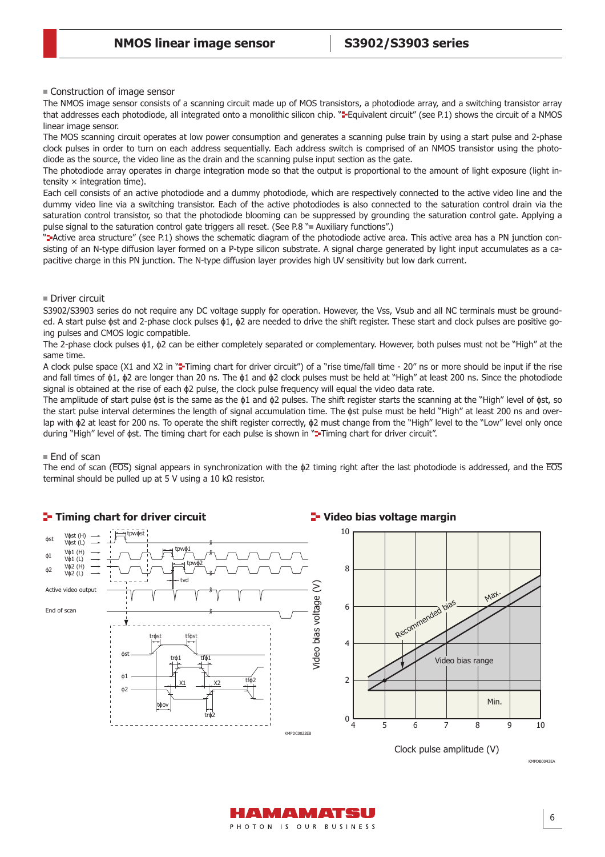■ Construction of image sensor

The NMOS image sensor consists of a scanning circuit made up of MOS transistors, a photodiode array, and a switching transistor array that addresses each photodiode, all integrated onto a monolithic silicon chip. "=Equivalent circuit" (see P.1) shows the circuit of a NMOS linear image sensor.

The MOS scanning circuit operates at low power consumption and generates a scanning pulse train by using a start pulse and 2-phase clock pulses in order to turn on each address sequentially. Each address switch is comprised of an NMOS transistor using the photodiode as the source, the video line as the drain and the scanning pulse input section as the gate.

The photodiode array operates in charge integration mode so that the output is proportional to the amount of light exposure (light intensity  $\times$  integration time).

Each cell consists of an active photodiode and a dummy photodiode, which are respectively connected to the active video line and the dummy video line via a switching transistor. Each of the active photodiodes is also connected to the saturation control drain via the saturation control transistor, so that the photodiode blooming can be suppressed by grounding the saturation control gate. Applying a pulse signal to the saturation control gate triggers all reset. (See P.8 " Auxiliary functions".)

"**--**Active area structure" (see P.1) shows the schematic diagram of the photodiode active area. This active area has a PN junction consisting of an N-type diffusion layer formed on a P-type silicon substrate. A signal charge generated by light input accumulates as a capacitive charge in this PN junction. The N-type diffusion layer provides high UV sensitivity but low dark current.

### ■ Driver circuit

S3902/S3903 series do not require any DC voltage supply for operation. However, the Vss, Vsub and all NC terminals must be grounded. A start pulse ɸst and 2-phase clock pulses ɸ1, ɸ2 are needed to drive the shift register. These start and clock pulses are positive going pulses and CMOS logic compatible.

The 2-phase clock pulses ɸ1, ɸ2 can be either completely separated or complementary. However, both pulses must not be "High" at the same time.

A clock pulse space (X1 and X2 in "=Timing chart for driver circuit") of a "rise time/fall time - 20" ns or more should be input if the rise and fall times of ɸ1, ɸ2 are longer than 20 ns. The ɸ1 and ɸ2 clock pulses must be held at "High" at least 200 ns. Since the photodiode signal is obtained at the rise of each  $\phi$ 2 pulse, the clock pulse frequency will equal the video data rate.

The amplitude of start pulse  $\phi$ st is the same as the  $\phi$ 1 and  $\phi$ 2 pulses. The shift register starts the scanning at the "High" level of  $\phi$ st, so the start pulse interval determines the length of signal accumulation time. The ɸst pulse must be held "High" at least 200 ns and overlap with ɸ2 at least for 200 ns. To operate the shift register correctly, ɸ2 must change from the "High" level to the "Low" level only once during "High" level of  $\phi$ st. The timing chart for each pulse is shown in " Timing chart for driver circuit".

### ■ End of scan

The end of scan (EOS) signal appears in synchronization with the  $\phi$ 2 timing right after the last photodiode is addressed, and the EOS terminal should be pulled up at 5 V using a 10 kΩ resistor.



HAMAMATSU PHOTON IS OUR BUSINESS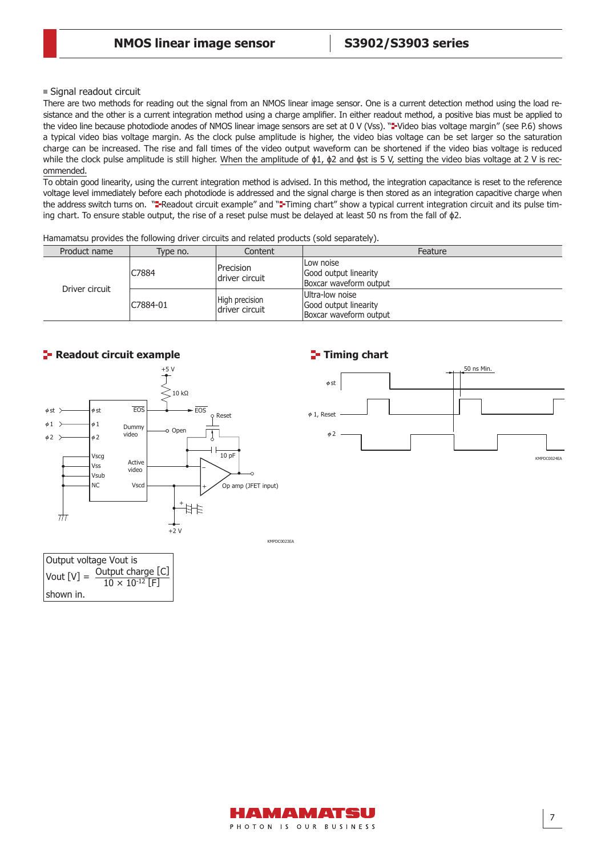■ Signal readout circuit

There are two methods for reading out the signal from an NMOS linear image sensor. One is a current detection method using the load resistance and the other is a current integration method using a charge amplifier. In either readout method, a positive bias must be applied to the video line because photodiode anodes of NMOS linear image sensors are set at 0 V (Vss). "=Video bias voltage margin" (see P.6) shows a typical video bias voltage margin. As the clock pulse amplitude is higher, the video bias voltage can be set larger so the saturation charge can be increased. The rise and fall times of the video output waveform can be shortened if the video bias voltage is reduced while the clock pulse amplitude is still higher. When the amplitude of φ1, φ2 and φst is 5 V, setting the video bias voltage at 2 V is recommended.

To obtain good linearity, using the current integration method is advised. In this method, the integration capacitance is reset to the reference voltage level immediately before each photodiode is addressed and the signal charge is then stored as an integration capacitive charge when the address switch turns on. "\*Readout circuit example" and "\*Timing chart" show a typical current integration circuit and its pulse timing chart. To ensure stable output, the rise of a reset pulse must be delayed at least 50 ns from the fall of ɸ2.

Hamamatsu provides the following driver circuits and related products (sold separately).

| Product name   | Type no. | Content                           | Feature                                                            |
|----------------|----------|-----------------------------------|--------------------------------------------------------------------|
| Driver circuit | C7884    | Precision<br>ldriver circuit      | ILow noise<br>Good output linearity<br>Boxcar waveform output      |
|                | C7884-01 | High precision<br>ldriver circuit | Ultra-low noise<br>Good output linearity<br>Boxcar waveform output |



### **Readout circuit example**

Output voltage Vout is

shown in.

Vout  $[V] =$  Output charge  $[C]$ 

 $10 \times 10^{-12}$  F

# **Timing chart**